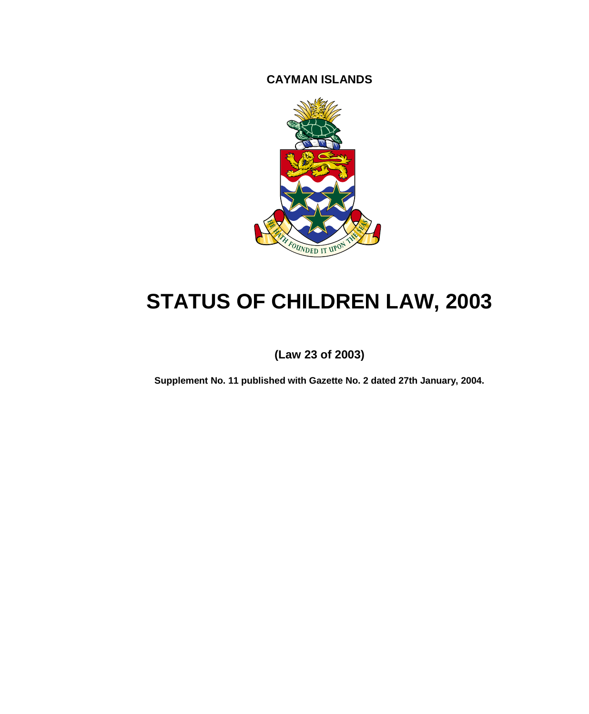**CAYMAN ISLANDS**



# **STATUS OF CHILDREN LAW, 2003**

**(Law 23 of 2003)**

**Supplement No. 11 published with Gazette No. 2 dated 27th January, 2004.**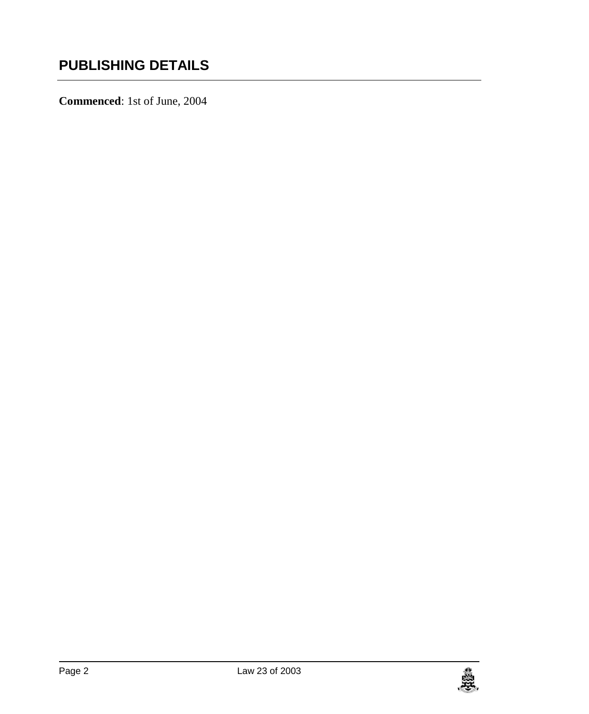**Commenced**: 1st of June, 2004

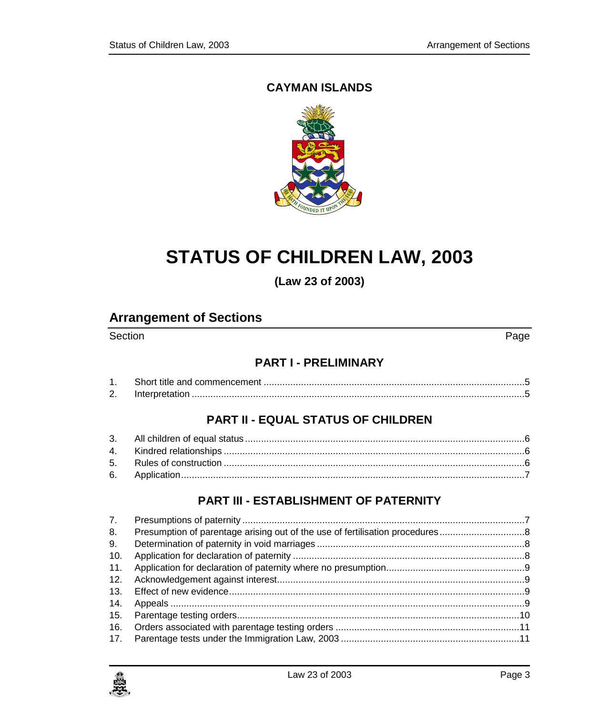# **CAYMAN ISLANDS**



# **STATUS OF CHILDREN LAW, 2003**

**(Law 23 of 2003)**

# **Arrangement of Sections**

Section Page **Page 2012** 

#### **PART I - [PRELIMINARY](#page-4-0)**

| Z. |  |
|----|--|

## **PART II - [EQUAL STATUS OF CHILDREN](#page-5-0)**

# **PART III - [ESTABLISHMENT OF PATERNITY](#page-6-1)**

| 7.  |  |
|-----|--|
| 8.  |  |
| 9.  |  |
| 10. |  |
| 11. |  |
| 12. |  |
| 13. |  |
| 14. |  |
| 15. |  |
| 16. |  |
|     |  |

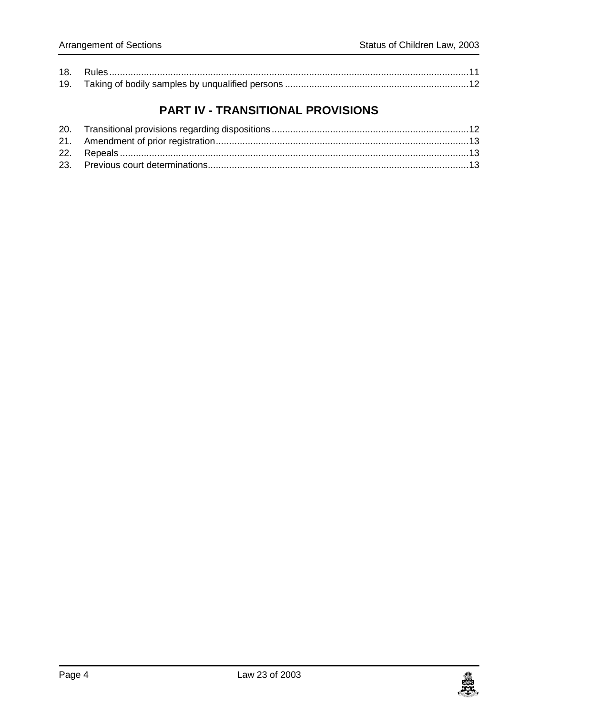# **PART IV - [TRANSITIONAL PROVISIONS](#page-11-1)**

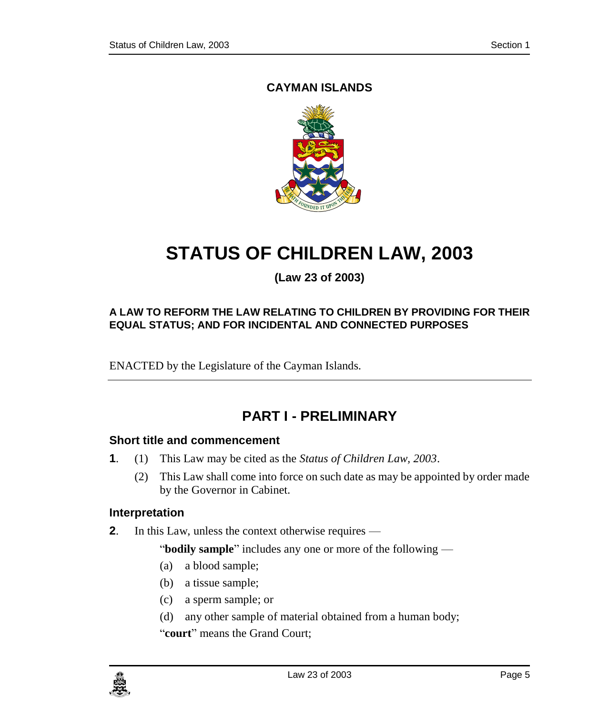# **CAYMAN ISLANDS**



# **STATUS OF CHILDREN LAW, 2003**

**(Law 23 of 2003)**

#### **A LAW TO REFORM THE LAW RELATING TO CHILDREN BY PROVIDING FOR THEIR EQUAL STATUS; AND FOR INCIDENTAL AND CONNECTED PURPOSES**

ENACTED by the Legislature of the Cayman Islands.

# **PART I - PRELIMINARY**

#### <span id="page-4-1"></span><span id="page-4-0"></span>**1. Short title and commencement**

- **1**. (1) This Law may be cited as the *Status of Children Law, 2003*.
	- (2) This Law shall come into force on such date as may be appointed by order made by the Governor in Cabinet.

#### <span id="page-4-2"></span>**2. Interpretation**

**2**. In this Law, unless the context otherwise requires —

"**bodily sample**" includes any one or more of the following —

- (a) a blood sample;
- (b) a tissue sample;
- (c) a sperm sample; or
- (d) any other sample of material obtained from a human body;

"**court**" means the Grand Court;

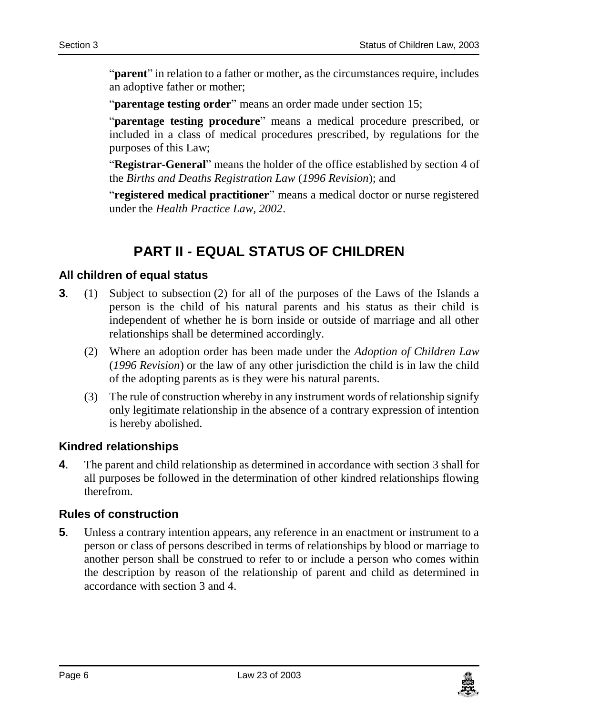"**parent**" in relation to a father or mother, as the circumstances require, includes an adoptive father or mother;

"**parentage testing order**" means an order made under section 15;

"**parentage testing procedure**" means a medical procedure prescribed, or included in a class of medical procedures prescribed, by regulations for the purposes of this Law;

"**Registrar-General**" means the holder of the office established by section 4 of the *Births and Deaths Registration Law* (*1996 Revision*); and

"**registered medical practitioner**" means a medical doctor or nurse registered under the *Health Practice Law, 2002*.

# **PART II - EQUAL STATUS OF CHILDREN**

#### <span id="page-5-1"></span><span id="page-5-0"></span>**3. All children of equal status**

- **3**. (1) Subject to subsection (2) for all of the purposes of the Laws of the Islands a person is the child of his natural parents and his status as their child is independent of whether he is born inside or outside of marriage and all other relationships shall be determined accordingly.
	- (2) Where an adoption order has been made under the *Adoption of Children Law* (*1996 Revision*) or the law of any other jurisdiction the child is in law the child of the adopting parents as is they were his natural parents.
	- (3) The rule of construction whereby in any instrument words of relationship signify only legitimate relationship in the absence of a contrary expression of intention is hereby abolished.

#### <span id="page-5-2"></span>**4. Kindred relationships**

**4**. The parent and child relationship as determined in accordance with section 3 shall for all purposes be followed in the determination of other kindred relationships flowing therefrom.

#### <span id="page-5-3"></span>**5. Rules of construction**

**5**. Unless a contrary intention appears, any reference in an enactment or instrument to a person or class of persons described in terms of relationships by blood or marriage to another person shall be construed to refer to or include a person who comes within the description by reason of the relationship of parent and child as determined in accordance with section 3 and 4.

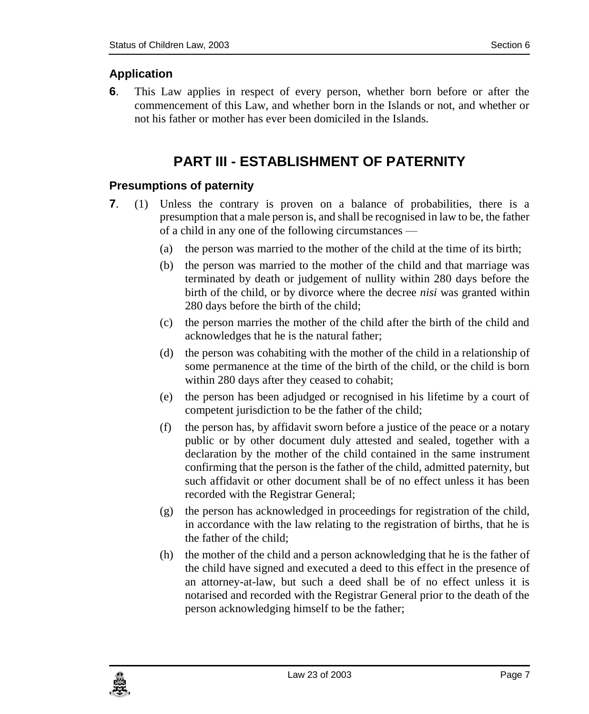# <span id="page-6-0"></span>**6. Application**

<span id="page-6-1"></span>**6**. This Law applies in respect of every person, whether born before or after the commencement of this Law, and whether born in the Islands or not, and whether or not his father or mother has ever been domiciled in the Islands.

# **PART III - ESTABLISHMENT OF PATERNITY**

## <span id="page-6-2"></span>**7. Presumptions of paternity**

- **7**. (1) Unless the contrary is proven on a balance of probabilities, there is a presumption that a male person is, and shall be recognised in law to be, the father of a child in any one of the following circumstances —
	- (a) the person was married to the mother of the child at the time of its birth;
	- (b) the person was married to the mother of the child and that marriage was terminated by death or judgement of nullity within 280 days before the birth of the child, or by divorce where the decree *nisi* was granted within 280 days before the birth of the child;
	- (c) the person marries the mother of the child after the birth of the child and acknowledges that he is the natural father;
	- (d) the person was cohabiting with the mother of the child in a relationship of some permanence at the time of the birth of the child, or the child is born within 280 days after they ceased to cohabit;
	- (e) the person has been adjudged or recognised in his lifetime by a court of competent jurisdiction to be the father of the child;
	- (f) the person has, by affidavit sworn before a justice of the peace or a notary public or by other document duly attested and sealed, together with a declaration by the mother of the child contained in the same instrument confirming that the person is the father of the child, admitted paternity, but such affidavit or other document shall be of no effect unless it has been recorded with the Registrar General;
	- (g) the person has acknowledged in proceedings for registration of the child, in accordance with the law relating to the registration of births, that he is the father of the child;
	- (h) the mother of the child and a person acknowledging that he is the father of the child have signed and executed a deed to this effect in the presence of an attorney-at-law, but such a deed shall be of no effect unless it is notarised and recorded with the Registrar General prior to the death of the person acknowledging himself to be the father;

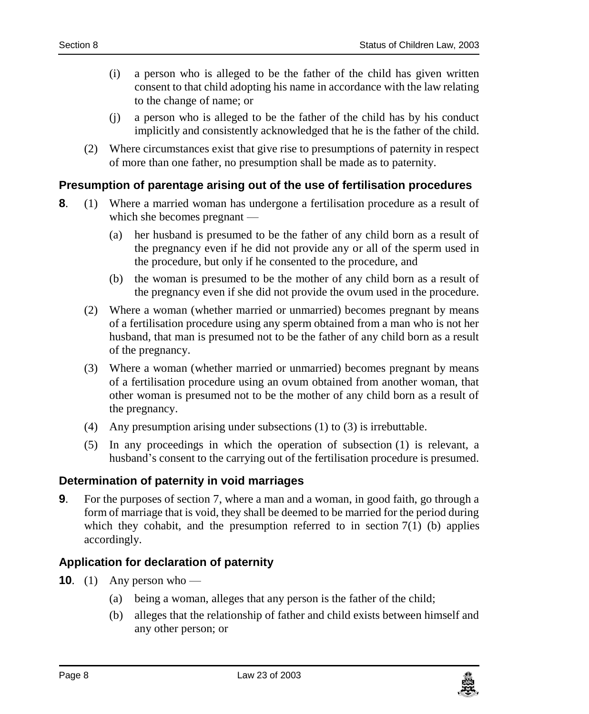- (i) a person who is alleged to be the father of the child has given written consent to that child adopting his name in accordance with the law relating to the change of name; or
- (j) a person who is alleged to be the father of the child has by his conduct implicitly and consistently acknowledged that he is the father of the child.
- (2) Where circumstances exist that give rise to presumptions of paternity in respect of more than one father, no presumption shall be made as to paternity.

#### <span id="page-7-0"></span>**8. Presumption of parentage arising out of the use of fertilisation procedures**

- **8**. (1) Where a married woman has undergone a fertilisation procedure as a result of which she becomes pregnant —
	- (a) her husband is presumed to be the father of any child born as a result of the pregnancy even if he did not provide any or all of the sperm used in the procedure, but only if he consented to the procedure, and
	- (b) the woman is presumed to be the mother of any child born as a result of the pregnancy even if she did not provide the ovum used in the procedure.
	- (2) Where a woman (whether married or unmarried) becomes pregnant by means of a fertilisation procedure using any sperm obtained from a man who is not her husband, that man is presumed not to be the father of any child born as a result of the pregnancy.
	- (3) Where a woman (whether married or unmarried) becomes pregnant by means of a fertilisation procedure using an ovum obtained from another woman, that other woman is presumed not to be the mother of any child born as a result of the pregnancy.
	- (4) Any presumption arising under subsections (1) to (3) is irrebuttable.
	- (5) In any proceedings in which the operation of subsection (1) is relevant, a husband's consent to the carrying out of the fertilisation procedure is presumed.

#### <span id="page-7-1"></span>**9. Determination of paternity in void marriages**

**9**. For the purposes of section 7, where a man and a woman, in good faith, go through a form of marriage that is void, they shall be deemed to be married for the period during which they cohabit, and the presumption referred to in section  $7(1)$  (b) applies accordingly.

## <span id="page-7-2"></span>**10. Application for declaration of paternity**

- **10.** (1) Any person who
	- (a) being a woman, alleges that any person is the father of the child;
	- (b) alleges that the relationship of father and child exists between himself and any other person; or

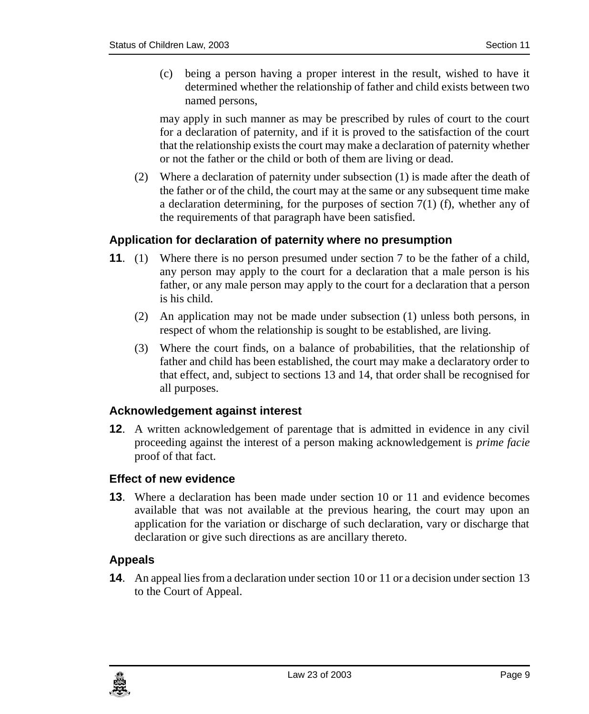(c) being a person having a proper interest in the result, wished to have it determined whether the relationship of father and child exists between two named persons,

may apply in such manner as may be prescribed by rules of court to the court for a declaration of paternity, and if it is proved to the satisfaction of the court that the relationship exists the court may make a declaration of paternity whether or not the father or the child or both of them are living or dead.

(2) Where a declaration of paternity under subsection (1) is made after the death of the father or of the child, the court may at the same or any subsequent time make a declaration determining, for the purposes of section  $7(1)$  (f), whether any of the requirements of that paragraph have been satisfied.

#### <span id="page-8-0"></span>**11. Application for declaration of paternity where no presumption**

- **11**. (1) Where there is no person presumed under section 7 to be the father of a child, any person may apply to the court for a declaration that a male person is his father, or any male person may apply to the court for a declaration that a person is his child.
	- (2) An application may not be made under subsection (1) unless both persons, in respect of whom the relationship is sought to be established, are living.
	- (3) Where the court finds, on a balance of probabilities, that the relationship of father and child has been established, the court may make a declaratory order to that effect, and, subject to sections 13 and 14, that order shall be recognised for all purposes.

#### <span id="page-8-1"></span>**12. Acknowledgement against interest**

**12**. A written acknowledgement of parentage that is admitted in evidence in any civil proceeding against the interest of a person making acknowledgement is *prime facie* proof of that fact.

#### <span id="page-8-2"></span>**13. Effect of new evidence**

**13**. Where a declaration has been made under section 10 or 11 and evidence becomes available that was not available at the previous hearing, the court may upon an application for the variation or discharge of such declaration, vary or discharge that declaration or give such directions as are ancillary thereto.

#### <span id="page-8-3"></span>**14. Appeals**

**14**. An appeal lies from a declaration under section 10 or 11 or a decision under section 13 to the Court of Appeal.

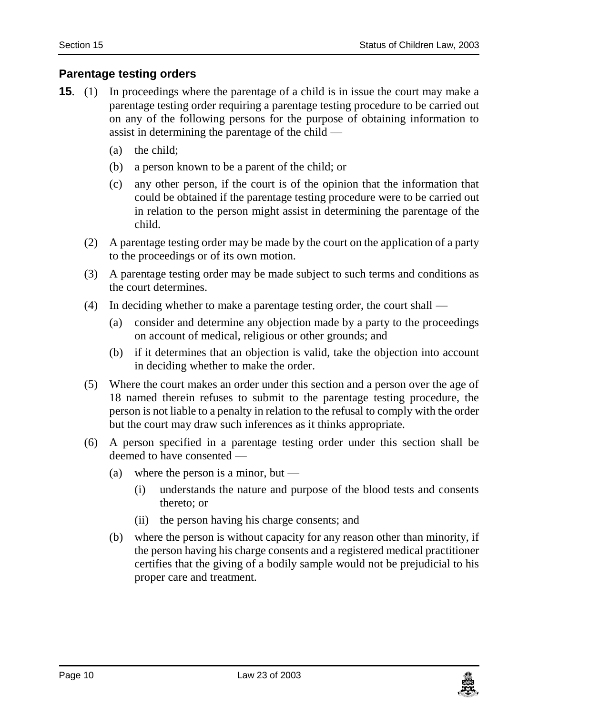#### <span id="page-9-0"></span>**15. Parentage testing orders**

- **15.** (1) In proceedings where the parentage of a child is in issue the court may make a parentage testing order requiring a parentage testing procedure to be carried out on any of the following persons for the purpose of obtaining information to assist in determining the parentage of the child —
	- (a) the child;
	- (b) a person known to be a parent of the child; or
	- (c) any other person, if the court is of the opinion that the information that could be obtained if the parentage testing procedure were to be carried out in relation to the person might assist in determining the parentage of the child.
	- (2) A parentage testing order may be made by the court on the application of a party to the proceedings or of its own motion.
	- (3) A parentage testing order may be made subject to such terms and conditions as the court determines.
	- (4) In deciding whether to make a parentage testing order, the court shall
		- (a) consider and determine any objection made by a party to the proceedings on account of medical, religious or other grounds; and
		- (b) if it determines that an objection is valid, take the objection into account in deciding whether to make the order.
	- (5) Where the court makes an order under this section and a person over the age of 18 named therein refuses to submit to the parentage testing procedure, the person is not liable to a penalty in relation to the refusal to comply with the order but the court may draw such inferences as it thinks appropriate.
	- (6) A person specified in a parentage testing order under this section shall be deemed to have consented —
		- (a) where the person is a minor, but  $-$ 
			- (i) understands the nature and purpose of the blood tests and consents thereto; or
			- (ii) the person having his charge consents; and
		- (b) where the person is without capacity for any reason other than minority, if the person having his charge consents and a registered medical practitioner certifies that the giving of a bodily sample would not be prejudicial to his proper care and treatment.

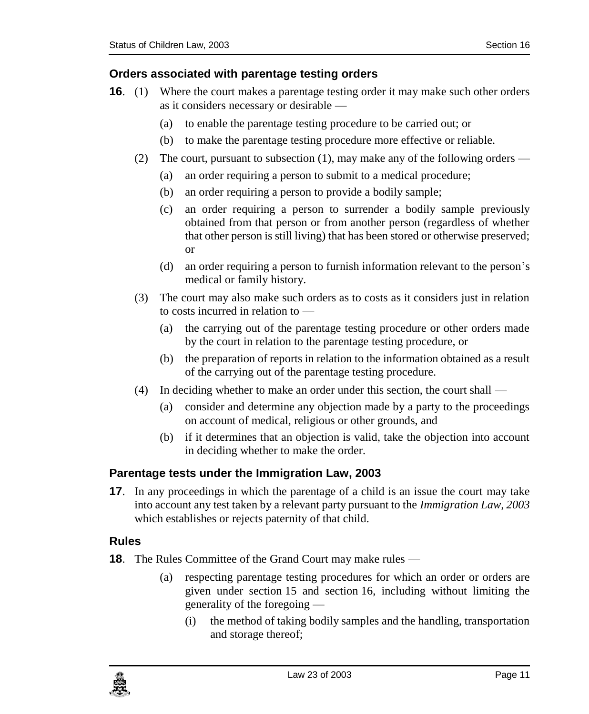#### <span id="page-10-0"></span>**16. Orders associated with parentage testing orders**

- **16.** (1) Where the court makes a parentage testing order it may make such other orders as it considers necessary or desirable —
	- (a) to enable the parentage testing procedure to be carried out; or
	- (b) to make the parentage testing procedure more effective or reliable.
	- (2) The court, pursuant to subsection (1), may make any of the following orders
		- (a) an order requiring a person to submit to a medical procedure;
		- (b) an order requiring a person to provide a bodily sample;
		- (c) an order requiring a person to surrender a bodily sample previously obtained from that person or from another person (regardless of whether that other person is still living) that has been stored or otherwise preserved; or
		- (d) an order requiring a person to furnish information relevant to the person's medical or family history.
	- (3) The court may also make such orders as to costs as it considers just in relation to costs incurred in relation to —
		- (a) the carrying out of the parentage testing procedure or other orders made by the court in relation to the parentage testing procedure, or
		- (b) the preparation of reports in relation to the information obtained as a result of the carrying out of the parentage testing procedure.
	- (4) In deciding whether to make an order under this section, the court shall
		- (a) consider and determine any objection made by a party to the proceedings on account of medical, religious or other grounds, and
		- (b) if it determines that an objection is valid, take the objection into account in deciding whether to make the order.

#### <span id="page-10-1"></span>**17. Parentage tests under the Immigration Law, 2003**

**17.** In any proceedings in which the parentage of a child is an issue the court may take into account any test taken by a relevant party pursuant to the *Immigration Law, 2003* which establishes or rejects paternity of that child.

#### <span id="page-10-2"></span>**18. Rules**

**18.** The Rules Committee of the Grand Court may make rules —

- (a) respecting parentage testing procedures for which an order or orders are given under section 15 and section 16, including without limiting the generality of the foregoing —
	- (i) the method of taking bodily samples and the handling, transportation and storage thereof;

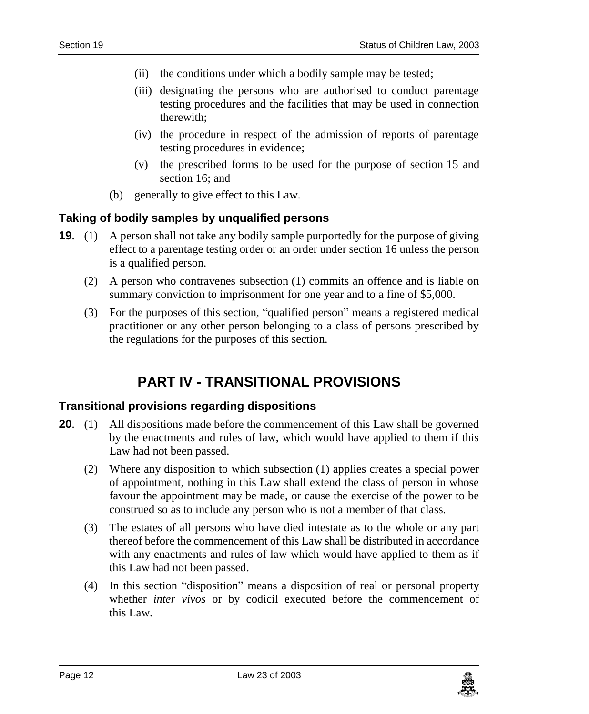- (ii) the conditions under which a bodily sample may be tested;
- (iii) designating the persons who are authorised to conduct parentage testing procedures and the facilities that may be used in connection therewith;
- (iv) the procedure in respect of the admission of reports of parentage testing procedures in evidence;
- (v) the prescribed forms to be used for the purpose of section 15 and section 16; and
- (b) generally to give effect to this Law.

#### <span id="page-11-0"></span>**19. Taking of bodily samples by unqualified persons**

- **19.** (1) A person shall not take any bodily sample purportedly for the purpose of giving effect to a parentage testing order or an order under section 16 unless the person is a qualified person.
	- (2) A person who contravenes subsection (1) commits an offence and is liable on summary conviction to imprisonment for one year and to a fine of \$5,000.
	- (3) For the purposes of this section, "qualified person" means a registered medical practitioner or any other person belonging to a class of persons prescribed by the regulations for the purposes of this section.

# **PART IV - TRANSITIONAL PROVISIONS**

#### <span id="page-11-2"></span><span id="page-11-1"></span>**20. Transitional provisions regarding dispositions**

- **20.** (1) All dispositions made before the commencement of this Law shall be governed by the enactments and rules of law, which would have applied to them if this Law had not been passed.
	- (2) Where any disposition to which subsection (1) applies creates a special power of appointment, nothing in this Law shall extend the class of person in whose favour the appointment may be made, or cause the exercise of the power to be construed so as to include any person who is not a member of that class.
	- (3) The estates of all persons who have died intestate as to the whole or any part thereof before the commencement of this Law shall be distributed in accordance with any enactments and rules of law which would have applied to them as if this Law had not been passed.
	- (4) In this section "disposition" means a disposition of real or personal property whether *inter vivos* or by codicil executed before the commencement of this Law.